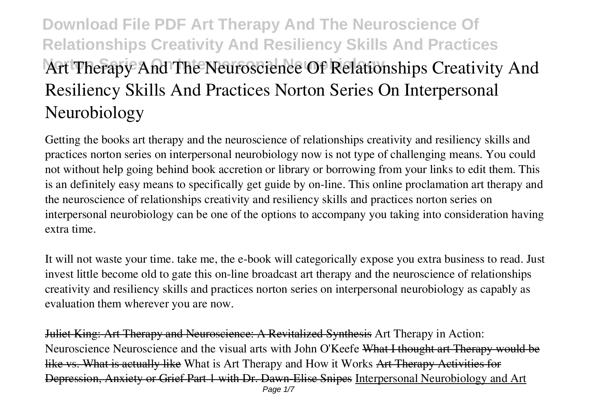# **Download File PDF Art Therapy And The Neuroscience Of Relationships Creativity And Resiliency Skills And Practices Art Therapy And The Neuroscience Of Relationships Creativity And Resiliency Skills And Practices Norton Series On Interpersonal Neurobiology**

Getting the books **art therapy and the neuroscience of relationships creativity and resiliency skills and practices norton series on interpersonal neurobiology** now is not type of challenging means. You could not without help going behind book accretion or library or borrowing from your links to edit them. This is an definitely easy means to specifically get guide by on-line. This online proclamation art therapy and the neuroscience of relationships creativity and resiliency skills and practices norton series on interpersonal neurobiology can be one of the options to accompany you taking into consideration having extra time.

It will not waste your time. take me, the e-book will categorically expose you extra business to read. Just invest little become old to gate this on-line broadcast **art therapy and the neuroscience of relationships creativity and resiliency skills and practices norton series on interpersonal neurobiology** as capably as evaluation them wherever you are now.

Juliet King: Art Therapy and Neuroscience: A Revitalized Synthesis Art Therapy in Action: Neuroscience *Neuroscience and the visual arts with John O'Keefe* What I thought art Therapy would be like vs. What is actually like What is Art Therapy and How it Works Art Therapy Activities for Depression, Anxiety or Grief Part 1 with Dr. Dawn-Elise Snipes Interpersonal Neurobiology and Art Page  $1/7$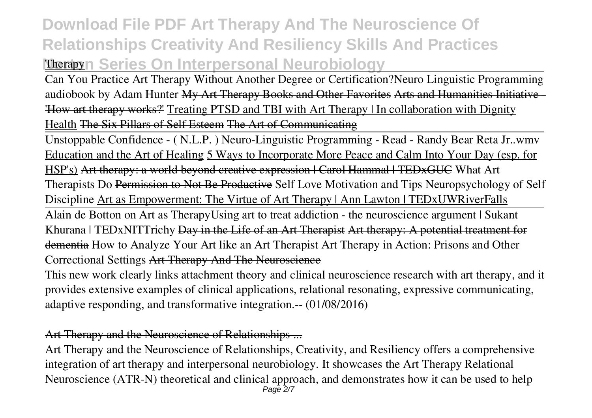# **Download File PDF Art Therapy And The Neuroscience Of Relationships Creativity And Resiliency Skills And Practices Therapyn Series On Interpersonal Neurobiology**

Can You Practice Art Therapy Without Another Degree or Certification?*Neuro Linguistic Programming audiobook by Adam Hunter* My Art Therapy Books and Other Favorites Arts and Humanities Initiative - 'How art therapy works?' Treating PTSD and TBI with Art Therapy | In collaboration with Dignity Health The Six Pillars of Self Esteem The Art of Communicating

Unstoppable Confidence - ( N.L.P. ) Neuro-Linguistic Programming - Read - Randy Bear Reta Jr..wmv Education and the Art of Healing 5 Ways to Incorporate More Peace and Calm Into Your Day (esp. for HSP's) Art therapy: a world beyond creative expression | Carol Hammal | TEDxGUC What Art Therapists Do Permission to Not Be Productive **Self Love Motivation and Tips** *Neuropsychology of Self Discipline* Art as Empowerment: The Virtue of Art Therapy | Ann Lawton | TEDxUWRiverFalls

Alain de Botton on Art as Therapy**Using art to treat addiction - the neuroscience argument | Sukant Khurana | TEDxNITTrichy** Day in the Life of an Art Therapist Art therapy: A potential treatment for dementia *How to Analyze Your Art like an Art Therapist Art Therapy in Action: Prisons and Other Correctional Settings* Art Therapy And The Neuroscience

This new work clearly links attachment theory and clinical neuroscience research with art therapy, and it provides extensive examples of clinical applications, relational resonating, expressive communicating, adaptive responding, and transformative integration.-- (01/08/2016)

#### Art Therapy and the Neuroscience of Relationships ...

Art Therapy and the Neuroscience of Relationships, Creativity, and Resiliency offers a comprehensive integration of art therapy and interpersonal neurobiology. It showcases the Art Therapy Relational Neuroscience (ATR-N) theoretical and clinical approach, and demonstrates how it can be used to help Page 2/7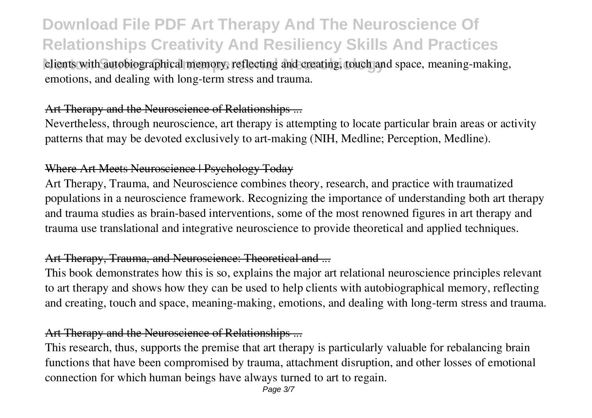# **Download File PDF Art Therapy And The Neuroscience Of Relationships Creativity And Resiliency Skills And Practices**

clients with autobiographical memory, reflecting and creating, touch and space, meaning-making, emotions, and dealing with long-term stress and trauma.

#### Art Therapy and the Neuroscience of Relationships ...

Nevertheless, through neuroscience, art therapy is attempting to locate particular brain areas or activity patterns that may be devoted exclusively to art-making (NIH, Medline; Perception, Medline).

### Where Art Meets Neuroscience | Psychology Today

Art Therapy, Trauma, and Neuroscience combines theory, research, and practice with traumatized populations in a neuroscience framework. Recognizing the importance of understanding both art therapy and trauma studies as brain-based interventions, some of the most renowned figures in art therapy and trauma use translational and integrative neuroscience to provide theoretical and applied techniques.

### Art Therapy, Trauma, and Neuroscience: Theoretical and ...

This book demonstrates how this is so, explains the major art relational neuroscience principles relevant to art therapy and shows how they can be used to help clients with autobiographical memory, reflecting and creating, touch and space, meaning-making, emotions, and dealing with long-term stress and trauma.

### Art Therapy and the Neuroscience of Relationships ...

This research, thus, supports the premise that art therapy is particularly valuable for rebalancing brain functions that have been compromised by trauma, attachment disruption, and other losses of emotional connection for which human beings have always turned to art to regain.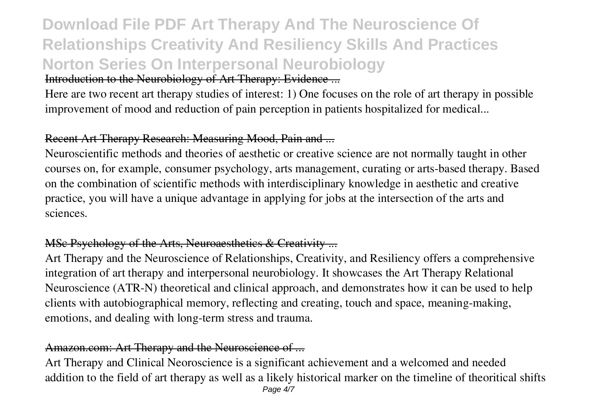# **Download File PDF Art Therapy And The Neuroscience Of Relationships Creativity And Resiliency Skills And Practices Norton Series On Interpersonal Neurobiology** Introduction to the Neurobiology of Art Therapy: Evidence ...

Here are two recent art therapy studies of interest: 1) One focuses on the role of art therapy in possible improvement of mood and reduction of pain perception in patients hospitalized for medical...

## Recent Art Therapy Research: Measuring Mood, Pain and ...

Neuroscientific methods and theories of aesthetic or creative science are not normally taught in other courses on, for example, consumer psychology, arts management, curating or arts-based therapy. Based on the combination of scientific methods with interdisciplinary knowledge in aesthetic and creative practice, you will have a unique advantage in applying for jobs at the intersection of the arts and sciences.

# MSc Psychology of the Arts, Neuroaesthetics & Creativity ...

Art Therapy and the Neuroscience of Relationships, Creativity, and Resiliency offers a comprehensive integration of art therapy and interpersonal neurobiology. It showcases the Art Therapy Relational Neuroscience (ATR-N) theoretical and clinical approach, and demonstrates how it can be used to help clients with autobiographical memory, reflecting and creating, touch and space, meaning-making, emotions, and dealing with long-term stress and trauma.

### Amazon.com: Art Therapy and the Neuroscience of ...

Art Therapy and Clinical Neoroscience is a significant achievement and a welcomed and needed addition to the field of art therapy as well as a likely historical marker on the timeline of theoritical shifts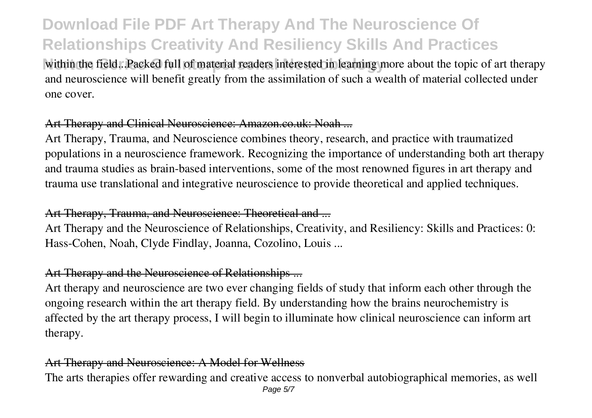# **Download File PDF Art Therapy And The Neuroscience Of Relationships Creativity And Resiliency Skills And Practices**

within the field...Packed full of material readers interested in learning more about the topic of art therapy and neuroscience will benefit greatly from the assimilation of such a wealth of material collected under one cover.

#### Art Therapy and Clinical Neuroscience: Amazon.co.uk: Noah ...

Art Therapy, Trauma, and Neuroscience combines theory, research, and practice with traumatized populations in a neuroscience framework. Recognizing the importance of understanding both art therapy and trauma studies as brain-based interventions, some of the most renowned figures in art therapy and trauma use translational and integrative neuroscience to provide theoretical and applied techniques.

#### Art Therapy, Trauma, and Neuroscience: Theoretical and ...

Art Therapy and the Neuroscience of Relationships, Creativity, and Resiliency: Skills and Practices: 0: Hass-Cohen, Noah, Clyde Findlay, Joanna, Cozolino, Louis ...

### Art Therapy and the Neuroscience of Relationships ...

Art therapy and neuroscience are two ever changing fields of study that inform each other through the ongoing research within the art therapy field. By understanding how the brains neurochemistry is affected by the art therapy process, I will begin to illuminate how clinical neuroscience can inform art therapy.

#### Art Therapy and Neuroscience: A Model for Wellness

The arts therapies offer rewarding and creative access to nonverbal autobiographical memories, as well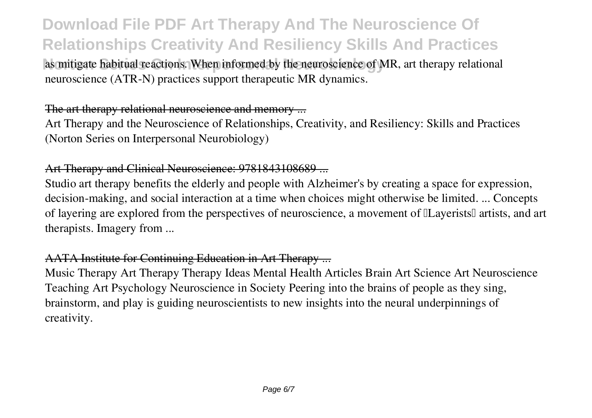# **Download File PDF Art Therapy And The Neuroscience Of Relationships Creativity And Resiliency Skills And Practices**

as mitigate habitual reactions. When informed by the neuroscience of MR, art therapy relational neuroscience (ATR-N) practices support therapeutic MR dynamics.

#### The art therapy relational neuroscience and memory ...

Art Therapy and the Neuroscience of Relationships, Creativity, and Resiliency: Skills and Practices (Norton Series on Interpersonal Neurobiology)

#### Art Therapy and Clinical Neuroscience: 9781843108689 ...

Studio art therapy benefits the elderly and people with Alzheimer's by creating a space for expression, decision-making, and social interaction at a time when choices might otherwise be limited. ... Concepts of layering are explored from the perspectives of neuroscience, a movement of  $\mathbb{I}$ Layerists $\mathbb{I}$  artists, and art therapists. Imagery from ...

# AATA Institute for Continuing Education in Art Therapy ...

Music Therapy Art Therapy Therapy Ideas Mental Health Articles Brain Art Science Art Neuroscience Teaching Art Psychology Neuroscience in Society Peering into the brains of people as they sing, brainstorm, and play is guiding neuroscientists to new insights into the neural underpinnings of creativity.